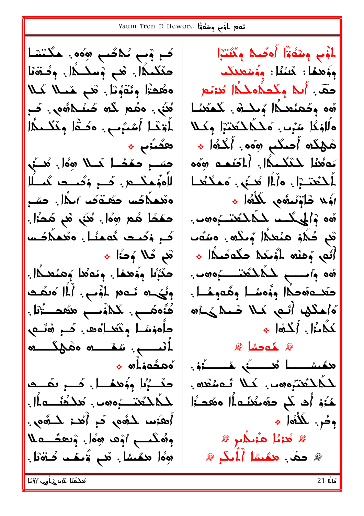كَعِ قَوْمٍ مُحْكَمٍ وَهُو. هَكْتَسْلَمْ لْمُو وِهْدُوْۤا أُوصُّكَ وِكْتَبْوَا وَوَّهِهَا: كَعَنُنَا: وَوَّسْعَعَلَمَتَ حْكُمْهَا. ۚ قُبِ مُسْلَّمَا. وِحُـقَوْمَا حقّ أبيا وللصلَّاملكَا مُدْمُو ەھْھَڙَا مِنْتَمُوْمَا . قْبَ هَــْلَا كَـلَا هُه وحُمْعُكُمْ وَمَكِنُو. كَمَعْنُـا هُنَي. ههُم لَاه صُلُلاَهُم. صُ أَوْݣُا أُسُبُّب وَصَوًّا وِكْكُما وَلَلْمَ مُّرَّبٍ وَكُلُّكُنَّةٍ وَكُلُّكُمْ وَكُلُّلًا مِنْ وَكُلُّلًا وَكُلُّلًا مِنْ وَكُلُّلًا و هُمْلُاه أُصِلُم هِهُه. أَعْدُه : ھنُنَّن پ مَعْعُفُا ۖ ۖ حَدَّكُـمِكَا ۖ وَأَدَّمَـٰهُ ۚ وَهُو جِمْعِ حَمْقُـا كَمِلًا هِوَا. مُحَـبِّي لَمَكْتَبْتِهِلِ. هَٰ أَلَمَلَ مَحْسَنٍ . هَمَكْنُعَــل للْمَوْجِدْهِ فِي ذَكَيْبِ مُسْبَدِلِهِ لِلْمُسْلَمَ ەقىمكەكسە كەنقەك آيكال كتىم اوَّىلا طَاوِّسُدُّەم لَمَلْأُوْلِ \* حمَحُا مُم رَهُما. هُنَّى هُم مُحرُّا. ەە قالمىگىدىكىلىگىنىسىزەھە. هْمْ خُلُمْ هِنُعِلًا بُمِنْدُهِ. مِنْدُب كَمِ وَكَتْبَ يَوْمَعُكُمْ. وَقَعْدُلَاكْتْسَتْ أَنَّهِ وَعَنُه لَمُعَكَّدٌ حَكَّدَهُمْ \* هُم گُلاً وَ*م*ُّاً \* حَدَّبُا مِهَٰمَطَ مِنَّصَلًا مَعْلَمَ مَنْكَلًا . هُه وَاسب لمكُلگتنســـزه هف. حَعَد وَمَحِمَلاً وَوُوسًا وِهُومِهْاً. وْنَىْ- هُ مَّدْهُمْ لْمُؤْمِنِ ۚ أَلْمَا هُ مَصَّف كَامِكُمْ أَنَسْمٍ مُمِلًا ضَمِكْمُ أَنْ قُدْهِ مَـــمِ . ݣَـٰكُمْ ُ ــــمِ محَمْعــــــرّْنَا . كَمْعُوْلُ: أَكْثَرُهُ \* \* حاْەمْسُا مِنْكَسَاەْھ. كَبِ ھْشُمَى أنْسَــــ ، مُـمْــــــــــه ەھْكُـُـــــــه 2 Loci 2  $\bullet$   $\bullet$   $\bullet$   $\bullet$   $\bullet$   $\bullet$   $\bullet$ محكمه المسنى كمسنو. حِنْـــرُّنَا وَوَٰهَـــا. كَـــرِ بِكَـــف لِمَلْكُتْبَوەق. كَمِلْلْ تَبْعَظُونَ لِمَلْكُتْبَوهوب ِ هَلْحُفْ وَلَمْلِي هُذَهِ أَحْدَ لَمْ حَمَٰى مُحْلَـٰهِ أَا مَمَحـُّزًا أَهْنَا لَمَدُهُ مِنْ أَكْسَرَ لَحِدُّهُمْ . وصُن لَمُلْأَهُ \*\* **& مُدْمُا هُ ُمُمْمِ &** وَهُكَسَبِ ٱوۡمَ رَوۡهَا ۚ وَتَعَصَّــَـمَا ه حقّ مكسًّا أَأْكُر ه رەە ھگىسا . قى ۋىگى ئەققا .

محلاً مُعلِّفًا مَعَلَّمَ الْأَمَّا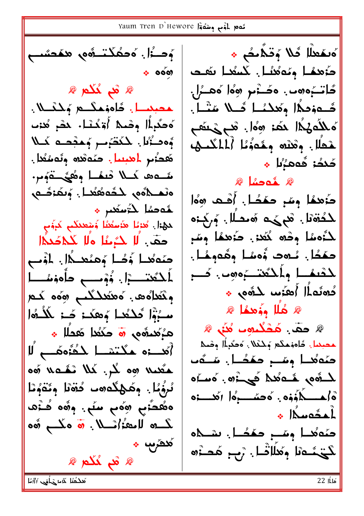ەتكىخلا قىلا ئەقىلاشى \* بُودُّا. هُوهُكُنْدُهُم مُعْجَسُب حَرْهِهُا وِمُوهُنَا. ݣُسُعًا بَعْدِ  $\bullet$   $\bullet$   $\bullet$   $\bullet$ ه تم مُکم ه مُاتَّبُوهِ . وَصُنُّو وَوْا وَصَـٰراً. حصيب أن قَادْفِعَكُمْ وَحَفْظٍ. حُــودَهَا وَهَلَــُـا فَــلا مَتْـا. َهَحَكَبِأَا وِضْمَا أَوْكُنْـاً، هِضْرِ هُٰذِب مِضْرِحَ مِنْهُ . أَهْمٍ مَضْمٍ الْمَهْمَلَاهُ وُوصُرُّل لِمَحْدَبِ وَعَفِّصَهِ كَمِلًا لحْمَلاً. وِمْتُو وِحْمَوْمًا الْمَلْكُمْلِي هُجُر العبيل حَيْمَهُه وِتُمِيْعًا. كَنْتُمْ قُومَيْنَا ۞ شـەھ كَــلا قْتَفْــلْ مِقْهَــقَهُــز. 2 Loci 2 ەتمىلەُە كەھەسىل ۋىمەئىە كَعْمَا مِمْمِ كَمْخُا. أَقْتُ وَهُ ـ هُـُـُوصُلْ لِـدُّسِعُبِرِ \* للهزار هُوَمُا هُنَسُعُنُا وُسْعِيلَكُمْ لَكِرْوَمٍ لْمُؤْمِنُا وِضْهِ يُقْدَى حَزْهَهَا وِسَعِ حقّ اللّ حُرْمُا واللّ كَلاَحُدْلَا حَمْحًا. مُـُدَّد ذُومُـا وِهُومُـا. للفَعْمَا والمُكْفِنَــوْوِب. كَــو كُونُه)ا أُهدَٰس لِلثُومِ \* ولَعْلَاهُ هِ . هُ مَعْلَمْلُكُم مِهْ مَهْ مَعْلِمَ A Loj, ló A سَـٰٓ;ٓءُ المُحْكَمَ الْمَحْمَدَ صَـٰٓءَ لَلْأَـٰهُ ا  $\mathbb{R}$   $\vec{ca}$ .  $\vec{a}\vec{a}$ هزُهُهُمِ وَ حَنُعًا هَعَلًّا \* عديمان دُاووَعِكُم وَحَكَمًانَ وَمَحَرَأُهُ وَصُحَ أهبء مكتشبا لمحُنَّوهُب لا حنَّدهُــا وَمَــو حَمْدُـاً. مَــدُّفَ معُملاً وه كُمْ. ݣَلَّا تْمُعَلَّا وْه منسمة بهتمره كمهمش موهك لُرُوُهُا . وِهَيْكُدُهِ فَوَقَا وَنَتَوُوْنَا هُ الْمَسْلَاَوُوْهِ . هُ حَسَبِهُ أَلْا الْحَسْنَة ەھُڪَبْعِ رەمْم سَبْ. مِرُّە ھُـنْھ \* Kwczal لك مع المعنان السلاء في الله علم من الله علم الله عليه الله عليه الله عليه الله عليه الله عليه الله حَمَٰہُكُمْ ہِمَّے حَمَّصًا ِ. نشْنَاهُ كَلْكُرْمِها \* لْتَهْتَمْنَا وَهَلاَقْاً. رُبِّ هُجَنَّوه **& مَع مُکَم ،** 

فلأأأ تهأخ بمقر المفكعة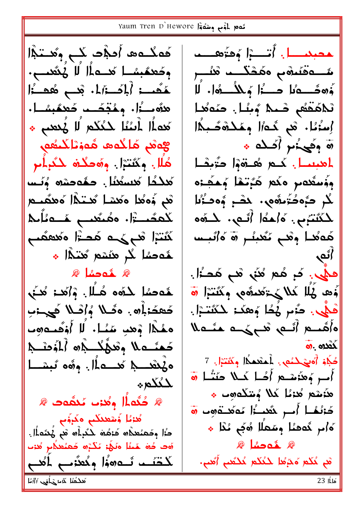## raum Tren D'Hewore la parties

َفْعَكْــوها أَمَدُّفْ كَلّــع ومُسْتَدِّال وحُعكَبِسُا مَحْداً لا إِنْمَعْنَـــمِ. لْمُصْدِ أَبْلَاصُـزَالَمْ. بْعَـــ وَالْمَسْدَأَ هدُّوب: {. وَهُجَمَّــمَا كَعْمُبِمْــا. مُعمَلَا أَسْنَا لِمُكَلِّمِ لَا يَحْمَى \* جەنىم كالمەھ ھەزىلىلىكى هُلَا. وِكَنْتَرَا. وَهُحَكْنُهُ كَكَرْأَس كَلَّكُمْ كَتَسْتَخْتُلْ. كَمُوصِّدُه وُنَّسَتَ هُم هُوهُا وَهُشَا هُـتَـٰهَا وَهمُـــم لَاهمُـــتْل ممُعُنــــم لَمَـــمناظ سَفْسَمْ مَدْيَا مَعْسَمَ مُعصمًا لَمْ مَنْسُم مُتَمَّا \*  $\mathscr{R}$  is  $\Omega$ مُعصَّل لهُوه هُلُل. وْأَهْدَ هُنَى حُمْعَٰذَبَّاهِ . هَكُلْمُ وُاصْلاً هَيْجِمْب ەلگا ۋەب م*ىنىلى لا أ*ۆگىلەھ كَعْسُـٰه لا وتَعَوُّلُمْـــٰكُلُّهُ أَلْمُوْسَـٰدٍ ەڭگىگى كېيەملىك مۇھە ئېشىسا لمُكْلِمِ \* @ حُثُه)ُ| وهُذب مُنصُّ**ه**ت @ مُدَمَّا وُسْعَدَكُم مَكْرَوُم حُرَّا وحَٰهئَعدَاه هَءْهُهَ لِلْكَرِءَاهِ شَيْ هُنْدَهَاًا. هُت خُهْ هُنئًا هَٰلُهُ: نَكْبُرُه خَمْنُعَلَّانِ هُذِب لْمُتّْنَــد نُــدْهُمْ وَلَمْتُنْسَم لِمُعْسَمِ محلاه الأولاد الفكمة

حصحب إن أتصبر ومؤهد شەقئىۋىم ەككتىم قئىر ذُهكَــــــهُ اللَّــــــدُ اللَّهَـــدُوا اللَّـــدُوا اللَّـــدُوا اللَّهَ لْلاَهَقْعُمِ ضَـٰماً مُّبُـٰاً. صَـٰٰ0هُما إِسْتُمْا. قَعِ مُـ2أَا مِمْلَـ3ْمُـمِـ\$ا ة وفي ام أكث \* المبسا. كم هُمْ وَوْا حَرْبِهَا وَوَسَعْدَمٍ وَكُمْ كَيْتَهَا مُحَكِّنَهُ لْم حَزْهِحُتَنِمُهُم. حَصَّرِ بُهِجَنُا لْمُتَنَبِّبٍ. هَ/هَهُ| أَنَّـْعٍ. كَــُهُ٥ هُەمُدا وقب مُعْبِنُـر ۞ هُ اُنُبــس )ئم<br>ا هئي. مَ مُم مُنَى هَم مَصَرًا. مَعَ الْمَسْتَمْعِ مِعْصَفَتِينَ مِمَّةً مِنْ مَثْنَةً إِنَّهُمْ مِنْ قَلِّي. ضُبِرٍ هُجًا مُعمَّدَ لَحَمَّتَـٰٓءٍٳ. ه اُهُـــم اُنَــم شَــرٍكَـــم ــمـُــما  $\overline{9}$   $\overline{22}$ حُجَّوْ أَوْتَجَحْمَهِ فَالْمَعْمَدُا وَكَتَبْرَا. 7 أُسِرٍ وَهَٰذَهُـهِ أَصُلَ كَــلاً هَنْـَا قَ مَنْشَمَ مُدْمًا لَمَلاً وُسْلَمُوْتَ \* حَٰزَىٰطًا أَمِي لِمُعْنَاةً مُوَهَّدَةٍ مِنْ أَنْ َهَ مِ نُعْجَمُا ۖ وَسَعَلَا هُجَم مُثَا \* 2 Loci 2 مْعِ مُلْمِ مَمْرُهَا لِمُلْمِ مُلْعَبٍ أَهْبٍ.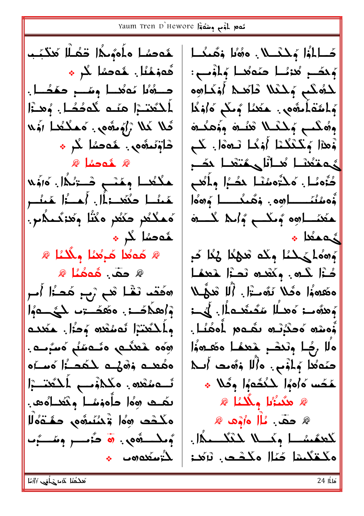#### Yaum Tren D'Hewore ligate pail pai

لحُمحسُا مأمَمُ الْأَمُسُوا تَحْمَلُوا مُحَكِّبُ فَعَفِمُنَا . هُءَمَمًا لَكُمْ \* حَــِهُمُا مُوهُــا وَمَــو حَفَجُــاً. المُعْتَبِ مَن كَوْحُا. وُهِ أَ ثَلا يُلا رْأُوْمِقُومِ. هُمْكُعْدَ اوْ دْآۆنىۋەي. ھەمئاڭر ھ  $\mathcal{R}$   $\Delta \Delta \mathcal{R}$ مككل ومَنْبِ صْةِمَا. هَاوَلا هَنْسًا حَكَفَ:أَا. أَهْدُا هَنْب ُەھلاكىر ھكَتىر ەڭتًا مِعْتَمْدَمُو. ه هُ**مثا مُرمُنا مِلَّلْنَا** هِ **& حقٌّ. هُوهُنَّا هِ** هَفَف نَشَأ مْعِ رَبِّ هَدْ: أمر وْاهِكُاصُــز. مَعْصُــزم لَكَيْــوْدُ وألمُعْتَبْهُا ثَمِسْقَعِهِ وَحَزَاءٍ حَعَدَهِ رەمە ئىلگىم ەئىملىگ كەسۇسە. ەئىعدە ۋەھى كەمگە ئامسارە تَـــومُـقَعِدِهِ . وَكَلِّكُمْ مِـــمٍ لِمَكْتَنَـــتِهِ ا بَعْث هِوَا جَاْمُؤْسُلُ وَيَتَعَبَّلُوهُ . مَكْتُبَ وَهُمْ يَحْسُنُوهِ حَفَتْهُ الْمُ وُمِلْمُ وَمِنْ وَمَنْ وَمُ وَمُسْتَوْمًا  $\therefore$   $\cos \omega \leq \triangle$ 

صَلَّاذُا مَحِنْكُمْ. وَهُمُا فَعُمُكُمْ مَحْصَـمِ هُدَمُـا صَـٰهِ هَـٰ مَلْهُمــمِ : لمؤمكم ولمثلا فاعدا أفكاوه وَاسْتَدَاْمِيْهِ مِيَاسَةٍ وَمِنْكُمْ وَادْخُلْهِ وهُكْسِم مُحْشَلًا قُلْسَةً وِفُعَكْتَةً وْهِدَا مُحْكَمْدًا أُوْحُا نَعْوَهَا. كَمْ بضر احقتني لثألثه الثغتمي كُرُّەمُـا . هَـٰذُرُّەمْنْـا ۖ حَكْرًا ۚ مِـأَهُــمِ ذُهِ مِثْنَهُ الْمُجَمَّدُ فَيْ الْمُجْمَعِينَ مِنْ الْمُجْمَعَةُ هَعَنَـــامِهِ مُ نَــْـــم مُحَـــمه \* Krai حُنَّا لَمُع، ومُعْدِه نَصَّا لَمَعْمَا هَهُووُا هَكَلا نَمُّمْتَوَا. أَلَّا هَدُّهَلَلا وَهِدَهُ سِنَ وَهِلْلِ مَكْتَفَعِيهِ أَلِ لَيْ بَعْ ذُهشه هُحِنْزُنَه بِمُحِم لِمَعْمَلٍ. وال رجًا وتَنصَّع خَصْصًا وصَحْوَةُ حَمْعَاهَا مُ الْمُومِ. وَٱللَّا وَهُومِ ٱلْكُلْمَ مُصَّس وَاوَمُ! لِمُحَقَّوْمَ! وَقَلْلُ \* ه منْدُرُا مِلْكُمَّا هِ ه حقّ **، مُاَّا** هُ وَه هُ كعمَسْا مِكْلًا حَتَكَــمُلْ! مكتكبشا حُمَال مكشف. ثَامُد:

محلاً مُعلِّفًا مَعَلَّمَ الْأَمَّا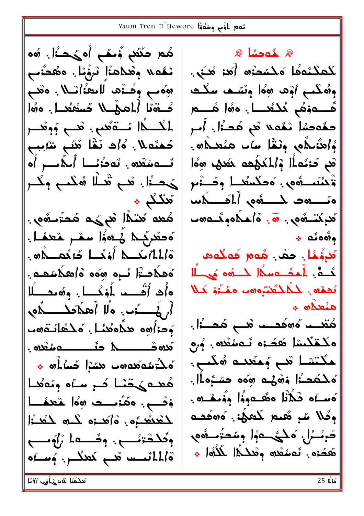## raum Tren D'Hewore la parties

هُم حَكَمٍ وُسَمَّمٍ أُوَيْحِيَّا. وُهِ نَعُم» وقداهنْ! تَروُبْه!. ەھُڪْرَب هِهُم وصُنْوَمَ للصُّدَّامُ اللَّهُ . وقَصَّ كَـــوْمَا ٱلْمَدْيَـــا كَــمُعُكْــا . وْهَا لمُكْلَّا مُــتْمُعْمِ. ثُعَّبِي بُوْتَعَــر حُمْنُه لا. هُ اُهْ نَشْأَ هُنِّي شَامِبٍ ئَـــەمْنْعَدە . ئەدْنُـــا أَىـكَمـــر أە كَحِنًا. قب تُعْلَّا قُمْكَ وِكْبَر ؙڡڵڵڵم ؞ هُعِده مُتَمَلَّا مَنْ مِنْ الْمُتَمَّ مَعَةً. ەَحْقْرَبُهِمْ يُـْدَّةُ سَفَّرٍ غَمْصًا. فالملكك أوكما صَاعُه الله. ەدگەنۋا ئىرە ھەرە ۋاھگاملىھ دأه أقسمه لمؤلمك, وهُمصطل أَرِ بِيَــــَوَبِ وَلَا أَهِكَامَكَــــدُّومِ مُحزِّ/وه هڏههُما. مَكْعَانَـةهم لَّعُمْدُمْ مِنْسَا كَبِّ سَارَهِ مِنْعَمَّلَا فْقَــــم: هَمُّوْـــــد هِهُ هَعْــُـــا لمُعْلَفُكُمْ وَ. هُ أَهْدَه لَمْدُ لَكُمْ أَلْمَ ومُحْدَّنَہُــــو مُــــــما ﴿ وَلَهُ مِــــو ەلللگىسە قىس كىلگىن ئەسساھ

2 Lock 2 لْمَكْنُوْطْ مَكْسَحْزُه أَهْدْ هُنِّي . وهُكُب آوْھ روهُا وِنْسُمْ سِكْتُ حمَّەحسًا نْفَهىلا ھُم مُحـُّزًا. أُسر وُأَهْنَاهُم وِنْظًا سَابٍ هِنْقَلَهُ». هُم حُزْنُواْ وُالْمُلْهُدُ هُمْلُ وَهُا وْحُنُنْمَــوُهِ . وَحَكْمَعُــا وِحَــوْمِ ەمَـــــەد كـــــوّە (كالِّفـــــكام كْبِكْتْمُومْ. ق. ۋاھكۈمگەۋەب  $\div$   $\alpha \hat{\bullet} \circ \hat{\bullet} \bullet$ مَعِنْهُمَا . حَقَّ هُوم فَوَلَدُوه لْمُدَّ. اُحدُّمُ الْمُعَمَّدُ الْمُحَمَّدُ مِنْ الْمُحَمَّدُ تُعْفُرُو. لِلْكُلْكُتْبُوْهِ مِمْنُوْمُ كَبْلًا alado : هُقب، هُ٥هُـمــ، قب مُصــُزَا. ەڭقگىشا ھَڪُ;ە ئەشقلە. بُرە مَكْتَسْا قْبِ بِمَعْدِهِ هُنْدِ. هَدُهُدُ الْهُهُمُ مِهْمَ هِ مَعْهُمَا . ەسەە ئىكۋا ەھْھەبۇا بۇنقىھ وَقَلا سَرِ هُمِم لَكْمِكُوْ. وَهُقَصَم صَرْمُـرُل مَكَــْـمُواْ مِمْحَدَّىــوَّمِ هُڪُوَ. تُوسُعُدُه وِتَعَلَّٰہُ لَللَّٰہُ ﴾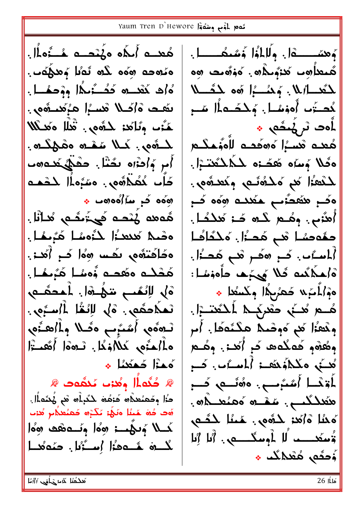هُعبه أمدُه مهْتُد و الْمَالِ. هَمُحد هِ مَهْ مَمْ الله عَمْلاً مَ مَوْلَهُ . هُ∕د كَفَسِه كَكُسُوَٰلاً ووْحِفْساً. بَعْبُ وَأَصَلًا مُسْءًا هَءُهُدُوهِ . لَّفُوْتِ وَثَاكِدٍ لِمَدْوَى الْمَثَلِ وَكُلُّلًا أُمِ وَادْرَه بِمُثَلَّدٍ حَفَظَى مَعْدُوب كَابَ غُفْذُهُونَ. وَشَوْداً لِلْخُمْدِهِ  $\Rightarrow$   $\cos \theta$ هُوهُمْ رُسْمَهُ فِي أَسْمَعِ مُعَانًا . ەضْمْ كَتْتَحْدُ لَذُوسًا كَرَسْمًا. ەَحَاْھَتْھُە ِ بَھْسَ ہِمُا ۖ مَٰٓ ِ اُھُدۡ . هَڪَد همَهڪ زُهسُا هُرُسُا. هُ﴾ لِإِنْمُبِ سَؤْسَةٍ . اَحْدَمُبِ لَا نَعِكُاحِقُوں ﴾ [الْغُل لَمان مِعْوِنَ . تَدەەُم أَسُبَّى ەصَّلا مِالصَّوْم هَاالْمُدُّى لَكْلاَوْلُا. نَـْ30\$ أَقْعَــٰٓزَا هُمْ أَهْمَٰهُمْ ﴾ حُرَّا وحَٰهئَعدَاه فَرْهُهَ لِلَّكِرِلَهِ ثَمْ يُحْتَمَاً!. هُدَ خُهْ عَبْنًا هَيْمُ: يَكْبُرُه جَمَنُعَكُمْ هُذِب كَمِلاً وَيَكْمِسُ: «وَهُ إِمْسَاعَةٌ وَهُمَا لْمِ هُـودُ إِستُرُا. حَمْوكُم

وَهِيْسِدْ وَٱلْمَاءُ أَوْ مُعَمُّدٍ . مُعطَمُوب مُنهُمِكُمْهِ. هُوَهُمِت وهِ لمُعْسَلُه لَا. مَحْسُنُوا وَهِ لِمَشْمَلَا كُصِبُّو أُومُسُلْ. وَلِكُما السَّرِ ـأەد ئىركىشى \* هُعْدَ قَسْبًا وَهَقَفَ الْمُؤْمَلَام ەقْلا مْسَاە ھُڪْنا لْمَلْكُعْنَـْ إِ. لِلْعَبُّا مَع مَلْمُعْصَ مِلْعَدُومِ . ەكىر ھكەكئىس سكىلىك رەۋە كىر أُهَّني. ومُحم لمْه صَـٰه هَنْكُمْ. حفَّەحسًا هُم هُجيُّا. هَكْدَافُ) اُلمسَّاب. کُب «هُم هُم هُمسُّاً. هْ الْمَحْكَمَدِ مُحَلٍّ مَحْكَمَ حَاْوَمْسًا : ەۋالمۇيە كېرىكال مكىنگال. هُــم هُــّى حقْربُــه لَمَــُقْــْ: . وِيْعِبُوْا ۚ هُم وَوِضْيَا هَلْنُعَفَا ﴾ أُمِ وِهُوْهِ هُدَلُدُهُ مَ أَهْدَ وَهُــم كُلّْنِي مَكْلاَفُحَكْمْ: أَلْمُسْآَفٍ. كَسْعِ أَوْكَمَا أَسُبُّومِ وَاللَّهُ مَنْ الْمَسْمَلِ وَاللَّهِ مَ هكللكسى. سَمْسِهِ هَمسُلاسِهِ. هَمْا وْأَهْدْ لِمُوْمٍ. هَمْا لِحْمَمِ وُّسَعَيْــــــــه لَلْ أَوِسَكَـــــــمِ . أَمَّا إِمَّا أَحفُم هُعْلاَمُك \*

تَعْلَمُنَا يَهْدُ الْمُسْتَمَاءَ الْمُسْتَمَاءَ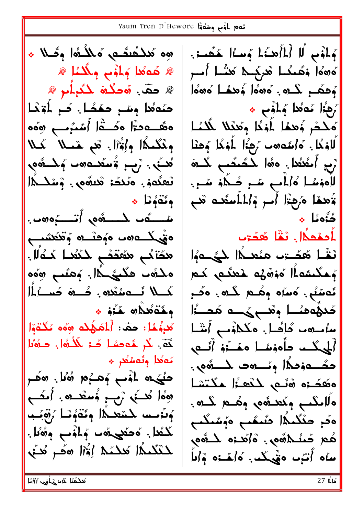**وه مُلاَعْتُمِي مَلْلُـوُا مِصْلا \* & هُومُنا ہُلوُب ہِلْاُمُا &** ه حقّ و مَكَّن لمُكْبِلُو هُ حَمْعَهُا مِمَّحِ حَمْدًا. فَحِ أَوْثَا ەھْــەدْ:ا ەكـــةَا أَسُبَّىـــى «ەَە وِمْكُماْ وِإِوَّالَ. ثُمّ هَما لَمَا لَم كُلْتُو. رُبِع وُسَكَلْمَاهِ وَلَمِلْكُمْ وَلَ نُعِنُدُمْ . وَنُدَحّْدُ كُعِنُّوهِ . وَسْلَــدَأَا وَثَقَهُمْ \* سْــــهُ مـــــــوُهِ أُتـــــــوُه، ەقپكىمەم مەھقىم ئوقققىسىم هَخَالُبِ هَهَدَمْبِ لِمَكْعَلِ كَـهُ٤. ەلمەُ ھَلْمُیۡكَا ۚ. ہٖۡعَنۡم ۞ كَمِلًا تَسْمَعْتُوهِ. حُسْنَة حَسْسًا مِقَةُهُدُاهِ هَٰذَهِ \* كَعِزْفُهُا: حَقٌّ: أَلْمَٰهُكُمْ وَهُو مُكْتَوْدًا ئَةَ. لَمْ مُهْضًا ضُوْ لَمُلْهُلَ. صَهُمُا مُعاهَداً وتُعطَّعُوا \* حنُّىه لمُنْسِ ہُھـُڑھ شُاْ. سَفَـر رەكما كېڭ ئېر ۋىلىقىدە . اىكى وَتَوَّسُتَ لَمُتَعَلِّمَا وَتَوَوُّسًا رَوْيَجِب لْمُكْلَى هَجَكْمَةٍ وَلَمْوَسِعِ وَالْمَاءِ. لِمَنْكُما مَكْسُلا إِوَّآا هَصْرِ مُنَيْ

بَمِلْهُمِ لَا ٱلْمُلَامَٰ ۚ لَا يَمِسْأَلَمَ هُمَـٰٓ . َهُ‰ا فَمَعُـا ثَعرَبُــِـهِ مَثُــا أُمــر وَهَمَمِ لَمُده وَ أَوْهِ وَاللَّهُ مَعْلَمَ أَوْهِ وَاللَّهُ ُرِّهِۥؙٓٳ مُهمُّط ہُلوٰٓہ ٭ َهَنْكُمْ وَهَمُا لَمْمُا وَهَنَا لَمُنْتَارِ للغكل واستعده والمأخل أدعنا رْج أَمْعُعُدَا . هِ أَهْ الْمُمَنَّمِ لَكْـ فَهُ للْمَوْسُلُ هُ الْمَاسِي سَـٰ كُــٰكُمْ شَــْ. وَّههُم مَنْ اللَّهُ مِنْ اللَّهُ مِنْ اللَّهُ مِنْ اللَّهُ مِنْ اللَّهُ مِنْ اللَّهَ ڪُومُ**ا ۽** أَحْقَقُوا فِي الْمُحَرَّبِ تَغْـا هَصَـٰۃِٮ عنُعـدًا لَمُكَـدُو هِمْكُمُواْ أَدَوْهُهُمْ هَعْلُكُمْ لَمِعْهِ ئەملە . ەساە مۇسى لىدە . ەكىر كعقِّمها ومْبِيَ كَمَ مَدْ: سامىھە كَاكْل مْكْلاْهْم أَشْلَ ألمحكم فأوضل وكثو أتما حصَّــــهزدهَا ومُـــــــه ت ــــــهُمى . وهَجَة وهُنَّم لِلْعَصُرُ مِكْتَسَا وللكب وكعدقور وهُدم لمده. ەكر ھڭلىكا ئىگىى ەۋشىگىس هُم صُنُدْهُوم. وْأَهْدُه لْمُوْمِ مِلْهِ أَتَيْبِ وَقَيْلُكَ. ݣَالْمُدْهِ وْالْمَا

المُأَا رِجَاحَ لَهُمْ الْمُعَامَّةِ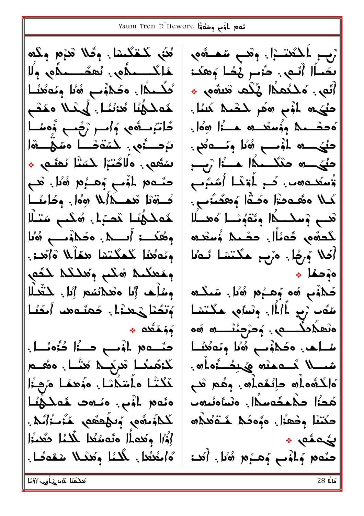كُتُو ݣَمْكُمْشَا. وِقْلًا قْدْوْمْ وِكْلُّه لْمَاكْــــمِدَّەبِ. تُعصَّـــمِدْو وَلَا ُفَكَــٰـٰهَا). ٥ضَكَاؤُنَــِ (26 وَمُـٰا مِنْـَمِّصُـٰـَـا مَعَمْمَا لِمَعْنَا. فَكَامَ مَمْتَ حُاتَبْسِتُومِ وَاسِرٍ رَجُسٍ وَوَمِسًا ئۆھتۇە . كىنەقسا ەتىكى شا سَتَمِعٍ . ولَاحُترْا لِكِتَبَا نَعْتُمِ \* حنَّــهم لمزَّىــ وَهــرُم وُمُل هَــ كُتّْوَيْمَا هُجْدَيْدًا لَهُ رَوْءًا. وَجَامَيْهَا لْمَمْحَكِمُهُا خُصَبَهُ. هُكُم مَتَـٰلاً وهُكَـــز أَىـــــــمْ . ەصَمْأَوْمــــــع وُهُمَا ومُعْمَلًا لَمُعَنَّسًا مِعَالًا وَأَمَد: ومَعنَده هُكُم ومَلكُمْ لَحُق وسُاحَد إِمَّا وَهَٰٰٓكُمُوا إِمَّا. كَتْخَطْأَ وَتَعُمْلَ يُحِدُّدُ. ضَعِنُـهِ مَنْ أَمَدُّلُ  $\bullet$   $\sim$   $\sim$   $\sim$   $\sim$ حنَّــــــهم لمُوْـــــــم حــــدُّا حُذُه مُـــــا . كَنْمُعُكُمْ هُرَبْهِكُمْ هَنُسًا. وهُصُمْ مْكْتْمَا مِأْسْلَامْا بِ مَؤْهِدًا مَرْجِعًا ەئەم لمۇم. ەئىمە ھەلمۇئا بَلْكَمُوْمِيْهِمْ وَمَعْصَفِهِمْ مَنْزَمِنُكُمْ بِمَنْكُمْكُمْ بِمَنْكُمْ إِذًا وَمَعااً ونَعِمْكِا لَمُكْمَا دَمَنْهَا ەُامعُعُدا . لَلْمُمَا وَعَنْدَلا سْمُوَصَا .

رْبِ لَمَكْتَبْ إِ. وْتَعِبِ سَمْعُوْمِ ىغَىـأَا أَنَّــْمِ. حَنْصر لِهُـا مُحكَّـدْ أَنُّهِ . مَكْكُمْ الْمُكُمْ مَعْنُوهِ . حَنَّىٰ الْهُم هوَ لِلصَّلِّهِ لَمَثْلُ هُ صَفْـــدا وُهُ مَــْدَ مـــدُّا وَهُ ا حنُّكَـــــه الْمُــــــم هُمُا ومُــــمُعمّ. حنَّىٰ۔ ٥ حَنَّدُ حَمَّا حَــَٰٓا رَبِّ ةُسكَدەەب. كَبِ لَمَقْدَا أَسْتَرْسِي لَمِمَالَ وَهُمُوتُوْلُ وَضَـٰٓةُلْ مُوهَمُنُوْسٍ . قب وۡسكنا وتَوۡوُنَـا وَهَـا لْمَحَوَّى هُومُأَل. حصْمِكَ وُسِعْدِهِ أَكُلاً مُرِجًا. •رُبِ عَكْتَسْأَ تَـهُ'ا  $\bullet$   $A^{\circ}$ كَمَاؤُم هُه مُعَـرُم هُا فَسَلَـده مْدُوبِ مَالِمَالِ. وِنْسَأُوبِ هَكْتَشَا ەنھكەكسىم . بُوخرْجنْنسىدە ئەە سُـاهـ : ەكَـادْمَـــم رُەُلم مِنَــە كَتَـــل مُسَــلاً مُسْمَنُونَ مِنْمَــزُواْهِ. َّەَاڭدەھلە ھاِنْگەلەن مۇھر تىم هُدُا حِلَاهِدٌوسِلَالِ. ونَسْأُونُنُوب حَكْتُنَا وِضْعَدًا. وَوُوَكُمْ شَـُوْكُلُاه  $\ast$   $\sim$   $\sim$   $\sim$ حنُّهِ مِ أَوْسٍ مُ مَـُومٍ هُا أَمَد: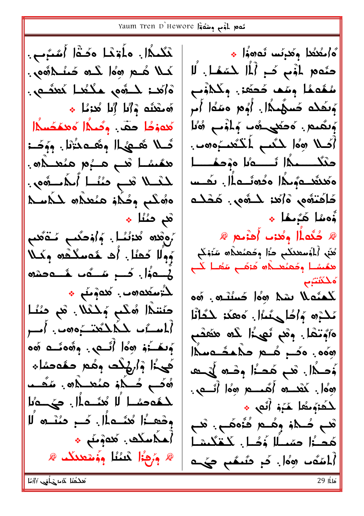نْكُماً. وأَوْمْا وَفَـةَا أَسُبَّب. كَمِلًا هُـم وِهُ أَكْتُهُ صَنُكُمْ وَهِ . هْ أَهْدَ لَمْدُهُمْ عَلَيْهَا يُعِدُّعْي. هُ مِثْلًا وَٱللَّهُ إِلَّا ۚ هُٰذُ مَّا ۖ \* كُلُّهُ وَهَا وَهَا وَكُلُّوا وَالْمُؤْمَنِينَ ثَــلا هُــهُـال وهُــمثَرْنا . ووَحُــز مكَسُمًا قَبِي مَــُرِم مَنْمَــَدُهِ. لمنْسِلا ثب منْسَا أمكُسِتُوم. ەھكىم وككاز ھىككىك لمىكلىسىلا هُم حِيْثًا \* رُوهُدُه هُدُنُسًا. وَأَوْحَكُب مُـتَأْهَب هُولًا كَعْنًا. أَحْدَ هُوسُكْفُوهِ وِكَبِلًا لى عَذَا. كَـــو سَـــدُه سَـــدِهِ  $\mathcal{L}$   $\sim$   $\mathcal{L}$ حَسَنًا هُكُم مُحْتَلًا . مْعَ حَنُـٰأَ اْلمســَاب للـكلــُكتــَـبِّـهِ٥٥-. اُمـــر وَمَسَنَوْ وَهُمَا أَنْسَفٍ وَهُومَسَدٍ وَهُو َّحِہُٗا وۡاٰہٰطُکَ وِھُم حَقّہِصَا؞ ھُڪَمْ ڪُلُمْ عَنُعَـٰدُهِ ۽ مَگَــَــ لمُعصِّم الْمَسْمالِ. حَيْحَمُل وضَعْدُا مُنْصَمَالِ کُبِ مِنْنَـْدَهِ لَلْا أَهْلُمُسْلُكَ. هُدْوُنَغْ \* @ مِرْجُزًا عَسْنُا مِهُمْعَ**دَنْ** @

ەُ اُمْعَتُعَا ۚ وَ مَحْرَبَس نَـّهِ مَعْ أَنْ ﴾ حنَّهم الْهُم فَعِ أَلَمَا لَحْسُمًا. لَا سُمُعِمُا مِمْمِ حُجَمَٰ: مِكْلَازُب وَبَعْلَهُ ضَيُّهُكُمُ ﴾ [وُهِ وَمَعُهُ أَمْ وَبِكُمِيمٍ ﴾ وَجَعَلَى وَلَهُ مِنْ أَوْمَلِ وَالْأَوْسِي أَصَلًا هِمَا لِمُنْسَمِ لَمُتَكْتَسَوْهِ . ەكدىگىسە مۇسى ئىسكىلى بىر حَاحَنَوُهِ وَأَهْدَ لِمَدُهِمٍ. هَصْلُـه أَوْمِمُا هَيُمِهَا \* @ حُثُه)| وهُذب أُهْزَمِ @ هُذَبِ ٱلْمُستَعْلَمِ حَدًا وَحَمَنُتَكُمْ مَنْهَدَاتِ مقشا وضمنعاله فنضم تنفا كم وللشترح لَكْمُتُمْلًا لَشْدً اهْمًا ضَلْنُتُهُ . وَهُ مَكْبُرُه مَ أَسْلَمَ مِنْ الْمَعْرِ مِنْ الْمَحْمَدِينَ مِنْ الْمَحْمَدِينَ مِنْ الْمَحْمَدِينَ مِنْ وَآَوُتُهَا . وَقَعِ نَصِيءُ لَاهِ مَقَوْمَ رُوُهُهِ . وَضَـٰمٍ هُـُـمْ صَلَاهِـقَــمِسْلَا ذَهَــٰهَا . ثَفَّ مُصَدًّا وَضُّه لَيْـَـتِهِ هِوْمَ }. كَفْسِهِ أُهُسِهِ هِوْمَ أَنْسِي. لِكَمْبَهُمْمَا لَّهَ أَنَّهَى \* قب صُـٰ\ة وِهُــــــمْ هُذُهَهَـبٍ. قب هَدُ أَصْمِيلًا وَٰدًا بِكَمْكُنْسَا المَفَّف هِمَّا. كَمْ عَنْتَمْمِ حَيْتُ

محلفة المستورين المستحمل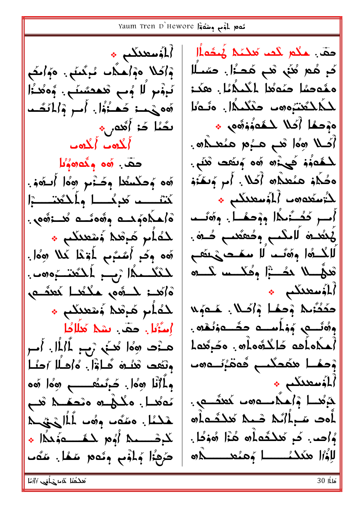#### Yaum Tren D'Hewore lieu ?

أآؤستنكم \* وْأَكْلَا هَوْأَهْلُمُا مُوَكّْفَةٍ. هَوْأَمَكَم لَٰٓٓٓہِمۡوَا اَ یُمِی شَمَعَیۡتَہٖ ۖ ۚ وَہُمَنَّاْ ۖ ۖ هُهِ هَمْ ذُوُّمُ }. أُمِي وَٱلْمُكَـْمَا ىغَىُا خَز أَهُم ِ ۞  $\frac{1}{2}$   $\frac{1}{2}$   $\frac{1}{2}$   $\frac{1}{2}$  $\mathbf{b}'$ حَقٌّ وَهُ وَهُوهُ وَ هُه مُحكَّسُعًا مِحَـٰٓءَى هِهُا أَنْـَهُمْ. هْ كَمِكْمَ دَمَهُ مِنْ هُمْ مَسْدَرْهُ مِنْ بِهِ مِنْ يَوْمِينَ مِنْ مِنْ مِنْ مِنْ مِنْ مِنْ مِنْ لْمُلُرِ مُرْمَلاً وُسْعَدَكُم \* هُه وِمَٰ أَسُبُنِي أَوْلَمَا كَلا هِمَا. لِمُتَكَــِـدُا رَبِــِ لَمِكْتَنَــَرِهِ وَمِــ . وْأَهْدَ لَمْدُهِمْ مِكْتُعَا يُعْقُمْ لْمُلُعِ مُبْعَدٌ مُتَعِنَكُم \* إِسْنُمْا . حقّ سْلا مُلَامُا هـڏد هِهُ| هُـنُو رُبِّ ]]]]. أُمـر ونَعْفَ قَبْلُهُ كَبَاؤُلَ. وُاهِلُل أَصْلَا وِلۡمُٱ ۚ أَوۡوَا ۚ وَوَٰلَٰٓ وَا ۖ وَوَٰلَٰٓ وَا وَلَا وَلَا وَلَا وَلَا وَلَا وَلَا وَلَا وَلَا وَ مُەھُلْ فَتَحَمُّلُ مَتَحَمَّلُ قَبْضَ مُسْتَمَرُ الْمُلْد سِمْهِ سَقْفَهِ . لَمْكُمْدَ لْمُوصَّـــمِمْ أَوْمِ لِمُكَـــوَمُمْلَا \* حَرْجُوْا بَمَازْمٍ وِنَوْمٍ مَثْمًا. مَثْمَت

حقٍّ. هلُّم لُّصٍّ مَحْسَمٌ يُعَدِّمُ كَ مُم مُنْ شَي مُحِبًّا. حسَّىلًا مفَّوصُا حَمَّصُوا الْمُلَامَّا. هَدَ: لِــدُلِــُعْتَبِهِ مِنْ مِنْكُــدُا). وَتَــوُنَا هوْحَمَّا أَكَلا لَلْقَوَّذُوْهُمْ \* آَصُلًا هِمَا قَبْ هَــرُمْ هَنُعَــدُهُ . لِلْمُعَهُّوْ هَيْ وَهُ هَ مَحْصَد هَنَّمٍ. ەكْكُە ھىُتىگە آكىلا. أمر بُرىمَةُو لْتُوسَعُدُومَا أَلْمُ مُعْدَلَكُمْ \* أُمِي كَكُنُّوبِكُمُ وَوَقِيمًا. وَهُنَّسَفَ یُحکُدهَ لَامکُب ِ وحُمعَکب صُـهَ. بِرَضْنِيَ كَــْفَةَ إِلَا سَـْمَةٍ وَاهْـَـٰكُمْ لَا يَسْتَمِينَ مِنْ مِنْ مِنْ مِنْ مِنْ مِنْ مِنْ تَعَمَّـــا لَمُــــٰٓ; وَقُكَــــت كَـــــرَّهُ أَلْمُسْعَدَكُمِ \* حَكَّنُكُمْ وَحَمَّا وَأَصَلاً. عَدَوُس وهُنَـــم وَذانســـم حـحَـــموْنُـفَـه. اُهْدُاهِ دَالْمُدْهُواْهِ . وَحَرِّهُهَا وْحِمْـا مْكَحَلْىــمْ فْعَقْبُنْـــعْ ْ |أَلْأُوْسَعْنَكُمْمِ \* لمُوت سَبِأَأَنَّكُمْ شَبِكُمْ هَلَكُمْ وَلَهُ وُاحِبٍ. كَمِ هَٰذَكُمْ أَرْهِ هُـٰٓءَ الْهُوۡطُ . 

تَعْلَمُنَا يَهْدُ الْمُسْتَمَاءَ الْمُسْتَمَاءَ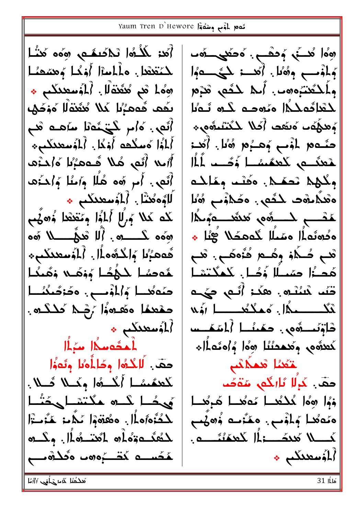أُهْ: لَمَلْـهُ| نَـٰادَعَـٰفَ وَوَه هَنْـَا لْمُتَعَفِّلَ. وَلَمَا لَهُمَا مَ وَهُمُعَمْدًا رەڭم ئې ئېقىقال. *{*آزَمىعدلَمى \* بَعْهِ قَوْمَہُ'ا ۚ كَلا ۚ مُقَوَّلًا ۚ وَوَحَٰكَ أَنَّفٍ . وَأَمِرٍ لَكَتَّحَمْنَا سَامَدَ قَفٍ أَلَاءُا مَسْلَحَه أَوْلًا. أَلَمُسْعَنكُمْ \* أَٱملا أَنَّع هُلا قَـععَبُٰا وَاٰمَـٰٓءَم أَنَّصٍ . أمرٍ هُو هُلَا مِأْمِنًا مَا دُخُو لَلْإِهِ مُحَنَّا . أَلْمُ سعدكُم \* لَكُمْ كَلَّا مُرِلَّا أَمْلُواْ مِنْعَصْلاً وُهِ يُسْ َّڡٞڡڡڔؙٛڶٳ؋ڵػڎٞڡڵٳ؞۞ڵۿؘڡڡڬۻ؞ لمُعصِمُا لِحُوُّمُا مُفَصَّلًا فَمَعُمُلًا حَنَّهِ هُـــا ﴾المأوْـــــم . • هُـَوْهُــدُنُـــا حفعفا معَصوُا رُضِه كَعْكُمْ . أَلْمُسْعَنَكُم \* ألمده المسحد حقّ الْكُوُا وطَلَوْنَا وِتُووُا لمُعْصَمُهُ أَكْثُرُهُ وَكَمِلًا قَصِلًا . لشخص لستنثم مسئه لملحمي لِكُنُواْوِداً وَهُوَا إِنَّ لَامَنَّ لَمْتَ لَا أَسْتَرَاءَ مِنْ الْمَرْ لْمُعْدُدِهُ أَرْهَ لَمُعْنَسُهُ أَلْ وَلَكُسُوهِ لْمَكْسَسِمْ لَمْتَسْرَةِ وَمَا وَقُطِيْرَةُ مِنْسَمٍ

رەھُم گُمْسَى جُمْسَى وَحَكَمِي مَدَّەت وَالْمُوسِمِ وِهُمَا. أَهْدَ لَمَيْ وَا ومَكْكَتْبُوهِ . أَمِكْ لَحْقِ وْهَزْمِ لحْقَاقُوكِكَمَا وَمُوصِفٍ كَتَبِهِ ثَبِوتُهُمْ مُعطَمُه، مَسَّع أَكْلاً لِمُنْتَمِثُوهِ \* حنَّــهم لمزَّىــ وَهــرُم هُا أَلَى أَهَد لْمَعْنَـــمِ لَاحْمُسُــاً وَُحُـــد آَٰاٰۤا ولمكهم تعكم ومقنس وخالمه ەقلامەت لمئەب. ەكلاۋىم ھُلا كَفْبِ لَمِسْتُوهِ وَمَنْفَسِيقَ مِنْهَا ەكەئەلم مسلا ئەمكىلا ۋَيَا \* قب صُـكَة ومُــــــم هُنَّومَــــم. قب هَدءُ احمَىلًا وَٰدًا. كَمَكْتَسْهَ قىّى كْتْتْلَه. ھكْ: أَنَّـَى حَيْـَـَ قَاوْنُىدْ ۋەب كَمْنُدا أَبْلَمْكَسْت لَمَعْثَمَهِم ومَعْصَلُنَا هِمَا وُاهِمُوا ﴾ تتكلأ تحمكتم حقّ. كَرَلَا تَارَبْكُمْ مَقْضُبْ وَوُا هِوَا يُحْكُمُ مَوْسًا مَوْسَمًا ەمّەكىا بَازْمى . مَنْزَىدە دُەنجى كَمِّلْهُ كُلْحُمْ مِنْ الْمُحْمَّنُوْتِ مِنْ وَ المؤسعدكم \*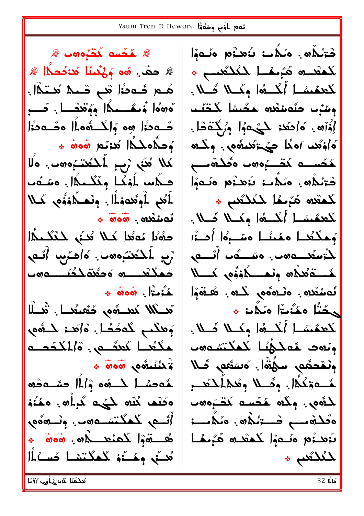& Addin Adjore & ® حقّ ِ وَ وَجِعْداً هَذِكْكُمْ ) هُــم هُــهوءُ| هُــم هُـــداً هــتـداً]. هُ‰ا وُمكْسِماً ووُقْفَسا. كُسْمِ حُــودُا هِه وَالْمُــِدُّهواَا وصَّـودُا وَحَدْهِ لِمَا أَهْنَهُمْ وَهُوَهُ \* مَلا هُنِّي رَبِّ أَلْمُعْتَبِّهِ وَمِن وَلَا هـكَاسا لَمْكُلّْمِ مِنْكُـمِكَالِ مِمْـُوَب لَمُعَ لَمُوقَعَمَالَ. وِنَعَـٰكُافَوُّوں كَـٰلاً  $\leftrightarrow$   $\overline{000}$   $\leftrightarrow$   $\overline{000}$ حَوْمًا مَوْمًا كَمَلًا مُحَمٍّ لِلْتَكْتِيَةِ ا رْمِمْ ﴾ لَكُفْتُوهوم ، وَاهْتُرْمِهِ ﴾ أَنَّبَعِ كملائع من مُحفَّذْهُ لَكُمُ مِنْ مِنْ  $\leftrightarrow$  000  $\cdot$   $\mathbf{r}$   $\mathbf{r}$ كَعِنْ الْمَعْدُونَ وَهُمَعُمَا . تُعَلَّلُ وَهِنْسَمٍ يُدْهُشُمْ. وْأَهْدَ لَمْدُومٍ ملكعا لمعصَّص . والمكتوح  $\rightarrow$   $\overline{\bullet}$   $\overline{\bullet}$   $\overline{\bullet}$   $\overline{\bullet}$   $\overline{\bullet}$   $\overline{\bullet}$   $\overline{\bullet}$   $\overline{\bullet}$   $\overline{\bullet}$   $\overline{\bullet}$   $\overline{\bullet}$   $\overline{\bullet}$   $\overline{\bullet}$   $\overline{\bullet}$   $\overline{\bullet}$   $\overline{\bullet}$   $\overline{\bullet}$   $\overline{\bullet}$   $\overline{\bullet}$   $\overline{\bullet}$   $\overline{\bullet}$   $\overline{\bullet}$   $\overline{\bullet}$   $\overline{\bullet}$  لمُعصِبُ لِمَدْهُم وَٱلْمَلَا حِسَّـدَهُ هَ فَسْمَهُ عَلَيْهِمْ مُؤْمِنًا مَفَّزَمَ أئسى لمكتئسا ماس وتسوؤهم à door ol réal joi à كُنَّى مِمْـزَمْ لَكَمُنْتَسَا حَسَالُم

ضَرَّمُ هَ . مَكْلَبَ يَرْهَدُو وَمَعْوَمِ لمكف مُبْلَا لمُلْفُس \* لمعمَسْل ألمُسْهُ إمكان قَسْلًا . ومَبْرَب حتَمسُفُلُو حَصَّمًا لَحْقَنَب إِذْأَهِ . ٥١ضَعَدَ لَمَدْهُما وَرُبَّكَ هَا . ە/ۈگىد /ەڭا كى تۇھىۋەم. بەلگە لْمَصَّىبِ لَمَصَـٰءِ٥٥ هُكُلُّهُ سَــمِ هُتَمُلُمُ». مَكْلِبَ يَوْهَدُو مَنْهُمْ لْمَقْدَهُ هُبُعُمُ لَمُلَّعْمٍ \* لْمَعْمَسْا أَكْثُوا مِكْلًا قَـلًا . وَحِكْفُكُ مَغْنُدًا مَفْدِهُ أَفْدَا لْتُرْسَعُلِـــــــەەب. ەسْــــــــهُ بِ أَنْــــــــــهِ مُستَمْلُدُه ونُعَسَدُوَّهُ كَسَلًا ثَمِنْتُوهِ . مَتَّوَهُم لَكُمْ . هُكْفَهُمْ \* نەلمُهْ اتْمَنْدُه اشْخْر لمُعمَّسُا أَكْثُر أَو مَا قَالَ. وَمُوتَ هُوَلَكُهُمْ لَكُمُكْتَسُوونَ وتَعْجَمُهِ سِيَّأْتُوا ِ. هُشْمُهِ گَــِلا مْــودْكُمَا. وصَّــلا وتَعْدَلَمْكَعْــو  $\angle$ 00,  $\sqrt{2}$   $\angle$   $\angle$   $\angle$   $\angle$   $\angle$   $\angle$   $\angle$ ەگلەھىسى ئىستۇنگەھ . ەككامىسىز بَرْهِيزُمْ وَيُبْهِمْ لَمُحْمَدُهُ هَرُمُهُمْ لمُلْكُف ﴾

محلاً مُعلِّفًا مَعَلَّمَ الْأَمَّا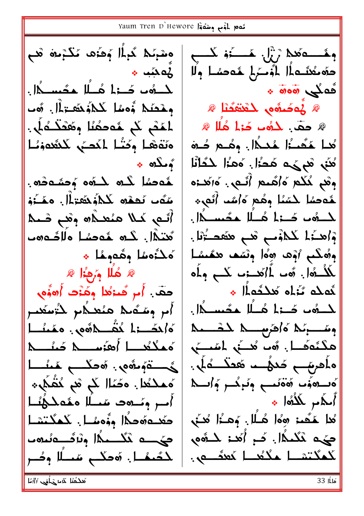ەشېكا گېلا وُهُوَ كَكَبْرِيهِ هُم دَهُ مُعْنَـداً الْمُوسَرَا عَددسَا وِلا  $\leftrightarrow$   $\leftrightarrow$   $\sim$ لمسؤما حَــزا هُــلًا همَّـســدًا.  $\rightarrow$  000  $\rightarrow$  0 مِمْحَنُمْ ذُهِمُا يَكُمْ ذَهَبَالَ هُ بِ & porio, Lévâri & لمَمْم كُم هُءَدَهُمُا مِعَصْلُـهُ). ه حقّ دهُ - ذه كَذا هُلَّا \* وَنَفْهَا وَكُنُّا الْمُحَيِّ لَلْعُدُوْمُا مُحَا عَثَمَـٰٓ; الْمُحَـٰمَّا . وِهُــع فُــة هَٰذٍ مَنْ مَنْ انْحَمْ مِنْ مَنْ الْمَثَارَ  $\bullet$  ole  $\bullet$ مُعصمًا لَمُده لمَدُه وَحَسَّدَهُ . وقع مُكْمِ وَأَمَّمِم أَنَّـى وَالْحَـزَه ـقـُـه صفـًا لِـمَـفـهِ مَا مَـمـ أَنَّـهـ ﴾ مَدُّبٍ نُهِمُهِ لَكُلُّهُ لِمُعَتَّلًا. مَفَـٰٓؤُ أَنَّـمِ كَمِلًا هِنُعَـٰدُهِ وِمْعٍ ضَـُمْ لمُسوُّم ضَـٰٓءَ اللَّهُ لَهُ مُعْسَىٰدًا . وْأَهْـذَا لَكُمْوْبٍ قُبِ هَفَعَــّٰزْنَا . مُتَمَالِ لِّـهِ خَوصُا وَلَاصُوهِ وهُكُم آوْهِ وَوَٰا وِنْسُفْ مَكْسُلًا َهَكْوَمُا مِقْوِمِمَا \* ® هُلَا دَرْهِةُ | لْمَلْسُوٰا). ثَەب لْمَائْعَسْنَا لَمْسَعْ وِيَلُو يُمله يُذَاه مَللَثَمالِ \* حقٍّ. أمرٍ قُمْرُها وِهَٰٓوْتِ أَرْوَٰوُو لمُسْمُو وَاللَّهُ مُسْلَمًا الْمُحَمَّسُورًا. أم وسَفَيط هنُعِيَامِ لِمُتَسَعِيمِ مَاحْصَــزا مُقُـــاهُ . وهَمْـــا ومَسْبِهُمْ وَاصْرِبِهِ لِلْمُسْمَدِيمِ همكع المعنوب هناك هَكَتُمُصَـا. هُم هُــُو اسْــُـي ەلھرمے كىلگ ئەتلىئىلگ. فَيْ تَوَمُّوهُمْ فِي مَعْشَمَ مَعْشَمَلْ َممحْعَل وَصَال کُمْ هُمْ مُقُمِّهِ \* كەسەۋە تەققىس بۇيگىز بۇلسىلا أَيكُم لَمَلْأَهُ \* أسر ومُنفق سُبلًا مِفْقِلَهُمُلَّا مُعَا ـِمَـُعِـٰٓ وَوَٰهَا هُـِـلًا ﴾ وَهــٰٓءًا مُحَـٰٓى حَعْدُهُ حَكَالٍ وَوُّوسُهُ لَمَحْتَشَهُ ا حَيْبِ مُكْسِمًا وَتَرَفَّسُوبَ حيّه مْكْلِمُلْ. كَمِ أُهْدَ لَحْدُهِ مِ لمكتشا مكعُرا مُعشَدى. لمُصْطَاب هُحكَب مُعْسَلًا وَحُسَر محلاً مُعلِّفًا مَعَلَّمَ الْأَمَّا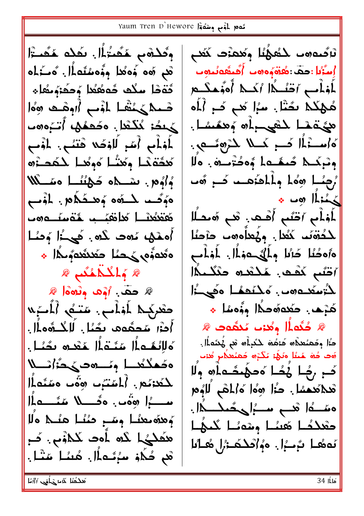#### Yaum Tren D Hewore ligate pai

وَقَلَاهُم هُقُمَّتُواْ فَقَلَه هُقُمَّوَا هُم هُه وُههُدا ووُهسُداً وَاسْتَداه ثَةَهْا سَلَّكَ دُهَهُمُا مُحَفَّزُهِ مُعَاجَ أَمْمِ مِكْتُمَا ۖ أَوْسٍ أَاوِقَتَ وَمِمَا كَعِيْدُ يُذْكَرْ. وَحُكِمْهِ أَتَبُوهِ لَمَوْلُم أَسَرِ لَلْمَحُلا قَتَنُسِ. لِأَمْسِ مَحْقَمْا وَمَثْا هُومُا لَلْمَحِنْوَهِ وُأَوُم . نِشْمُهُ كَهْنُنُا مَسْأَلَلًا ەُمُكُسا لَمْسَوْهِ مُحْتَكَلُامْ . لَمْهُ سَمِ مُعْتَمَنُكُسْمَا مُحَاجَمَةٍ مِنْهُمْ مَعْدَدَهُ أُهْلُولُ مُوْتَ لَاهِ . هَيْ أَمْ وَسُلْمَ • الْمُوْمِعْنُ أَنْعِيْ وَوْهَةُ هَ  $\mathscr{R}$   $\sim$   $\sim$   $\sim$   $\sim$   $\sim$   $\sim$  $\mathscr{R}$   $\overline{\text{cos}}$ ,  $\overline{\text{sin}}$ ,  $\overline{\text{cos}}$ حعْرَبُها أَوْأَب مَنْكُمْ أَأَسَرُبَه أَدْ: سَحِقُوهِ بِحُبُلٍ. لَاجْدُوهِ أَلِي وَالْمُحَالَ مَحْتَوَاً هَقْدِهِ بَحُمْلٍ. وصَعْكُفْ وَمُسْوَدِيْ حَنَّارُتْ الْمَسْلَا لْمُعْزَمُهِ. أَلْمَنْتَرِتْ وَقَالَ مَفْتَدِمَا سَـــُزُا وَوَٰى. وَقَـــا مَنْـــوا وَهِ مَعْدُ الْمَسْمِ حَمْلًا هِلَكُمْ وَالْمُسْتَمَرِ هَفَلَيُهَا لَاه لَمُوت لَكُلُمْهِم. فَع هْمْ حُكُمْ سُرُمُواْلِ. هُنْا مَثْا.

تَرَصُوهم لِمُعَلِّمًا وَمَحْتَو لَمَعْهُم إِسَّرُّنَا :حقَّ :هُوَهُ وَوَمِنَ ﴾ أَكْسَفُونَسُوبَ لَمَوْلَمِ الْمَسْلَا الْمَسْلَا أُهُمُسْكُمْ هُهْكُمْ بَعْثًا. سُرًّا هُم كُمْ أَلَمُو . لَـْسْمَمْ مابےکِنَّـا لَـْمَرَىٰ َهُ اسْتَذَا کُبِ کَمَلا کُنْرُهُ یُمْ ِ. وتركَّبِ صُهُبُهِ أَوْوَيْتُو وَ. وَلَا رُجِئًا وَهُا مِالْمُوَٰهِبِ صَٰبِ وَهُ  $\therefore$   $\circ$   $\mathsf{A}\sim$ لَمَوْلُمِ ٱقْتُمِ أَفْـعٍ. قبي هُمشاًا لَّكُوْنَ لَكُعَلَ. وِيُعَلَّوهُ عَاصَلًا وأوكُلُ كَانُا مِلْمُدْهِدَاًا. لَمُوَلَّم أَصَّفَ لَفْتَ. عَلَمْتُو صَلَّحَدًا انْرِمُه الْمُعَلَّمَ . بِهِ مِنْ الْمَرْسَمَ هُبْمٍ. حَعْدَهُحِمَّا وَوُّومُهُ \* ® حُدٌه) | مُن; مُنشَّد*ه* حُرَّا وِحَٰهَنُعِدَاه فَرْهُهَ لِلْكَرِأَهِ ثَمْ يُحْتَمَاًا. هُد خُهْ غَنْدَا وَنَهُ: نَكْرُه خَمْنُعَلَّاسٍ هُدَب و كَعِ رِجُا يُضُا هَدَهُمْشَـٰءَاه مِلْا هَٰكُلاَهِمَا . حَزَٰا هِءُا هَٰاٰءُ مُ الْهُمْ مقالات الأسكمعُ أُهْسِمَهِ مِنْ الْهَيْمَةِ مِنْ الْهَيْمَةِ مِنْ الْهَيْمَةِ مِنْ الْمَسْتَدَمَّ ا حفلاهُا هَسُا مِسْءَسَا گُدهُا نُعفُط بُنِياً. وَوُأَتَّكَتُمْ أَلَّهُ الْمَالَةُ